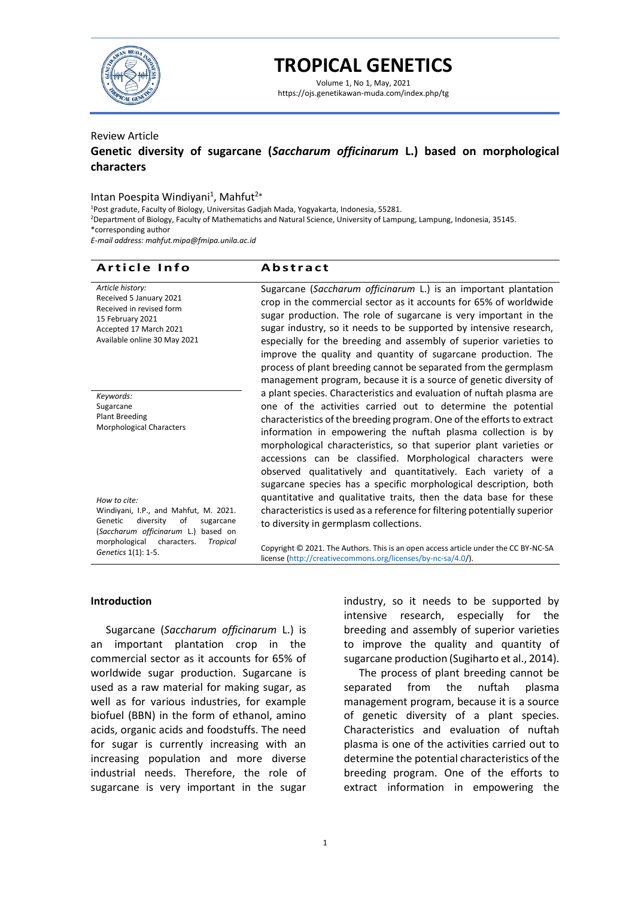

# **TROPICAL GENETICS**

Volume 1, No 1, May, 2021 https://ojs.genetikawan-muda.com/index.php/tg

# Review Article

# **Genetic diversity of sugarcane (***Saccharum officinarum* **L.) based on morphological characters**

# Intan Poespita Windiyani<sup>1</sup>, Mahfut<sup>2\*</sup>

<sup>1</sup>Post gradute, Faculty of Biology, Universitas Gadjah Mada, Yogyakarta, Indonesia, 55281.

<sup>2</sup>Department of Biology, Faculty of Mathematichs and Natural Science, University of Lampung, Lampung, Indonesia, 35145.

\*corresponding author

*E-mail address: mahfut.mipa@fmipa.unila.ac.id*

# **Article Info Abstract**

| Article history:<br>Received 5 January 2021<br>Received in revised form<br>15 February 2021<br>Accepted 17 March 2021<br>Available online 30 May 2021                                      | Sugarcane (Saccharum officinarum L.) is an important plantation<br>crop in the commercial sector as it accounts for 65% of worldwide<br>sugar production. The role of sugarcane is very important in the<br>sugar industry, so it needs to be supported by intensive research,<br>especially for the breeding and assembly of superior varieties to<br>improve the quality and quantity of sugarcane production. The<br>process of plant breeding cannot be separated from the germplasm<br>management program, because it is a source of genetic diversity of |
|--------------------------------------------------------------------------------------------------------------------------------------------------------------------------------------------|----------------------------------------------------------------------------------------------------------------------------------------------------------------------------------------------------------------------------------------------------------------------------------------------------------------------------------------------------------------------------------------------------------------------------------------------------------------------------------------------------------------------------------------------------------------|
| Keywords:<br>Sugarcane<br>Plant Breeding<br>Morphological Characters                                                                                                                       | a plant species. Characteristics and evaluation of nuftah plasma are<br>one of the activities carried out to determine the potential<br>characteristics of the breeding program. One of the efforts to extract<br>information in empowering the nuftah plasma collection is by<br>morphological characteristics, so that superior plant varieties or<br>accessions can be classified. Morphological characters were<br>observed qualitatively and quantitatively. Each variety of a<br>sugarcane species has a specific morphological description, both        |
| How to cite:<br>Windiyani, I.P., and Mahfut, M. 2021.<br>Genetic<br>diversity<br>of<br>sugarcane<br>(Saccharum officinarum L.) based on<br>morphological<br>characters.<br><b>Tropical</b> | quantitative and qualitative traits, then the data base for these<br>characteristics is used as a reference for filtering potentially superior<br>to diversity in germplasm collections.                                                                                                                                                                                                                                                                                                                                                                       |

Copyright © 2021. The Authors. This is an open access article under the CC BY-NC-SA license [\(http://creativecommons.org/licenses/by-nc-sa/4.0/](file:///E:/JURNAL%20FILOGENI/VOL%201%20NO%201/(http:/creativecommons.org/licenses/by-nc-sa/4.0/))).

#### **Introduction**

*Genetics* 1(1): 1-5.

Sugarcane (*Saccharum officinarum* L.) is an important plantation crop in the commercial sector as it accounts for 65% of worldwide sugar production. Sugarcane is used as a raw material for making sugar, as well as for various industries, for example biofuel (BBN) in the form of ethanol, amino acids, organic acids and foodstuffs. The need for sugar is currently increasing with an increasing population and more diverse industrial needs. Therefore, the role of sugarcane is very important in the sugar

industry, so it needs to be supported by intensive research, especially for the breeding and assembly of superior varieties to improve the quality and quantity of sugarcane production (Sugiharto et al., 2014).

The process of plant breeding cannot be separated from the nuftah plasma management program, because it is a source of genetic diversity of a plant species. Characteristics and evaluation of nuftah plasma is one of the activities carried out to determine the potential characteristics of the breeding program. One of the efforts to extract information in empowering the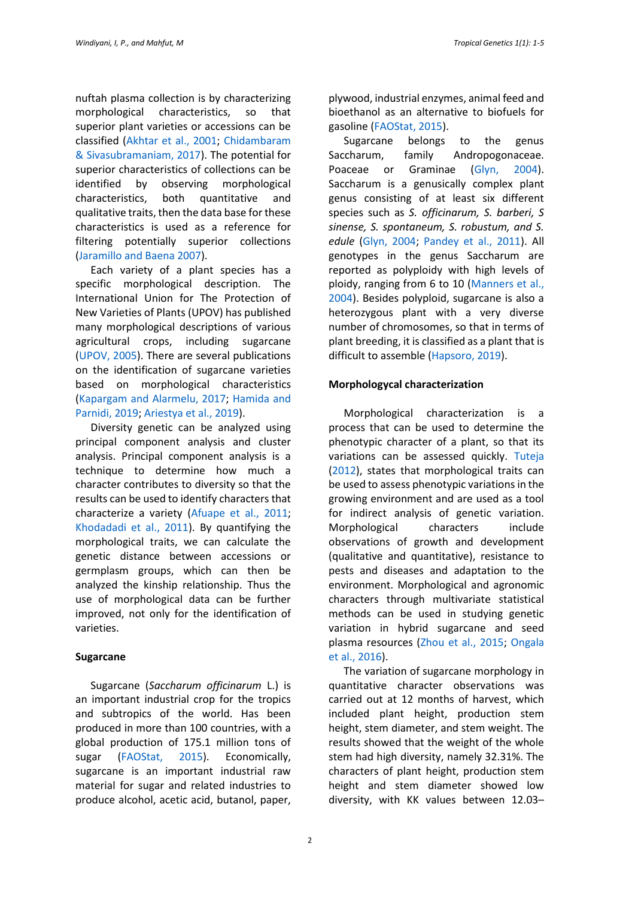nuftah plasma collection is by characterizing morphological characteristics, so that superior plant varieties or accessions can be classified [\(Akhtar et al., 2001; Chidambaram](#page-3-0)  [& Sivasubramaniam, 2017\)](#page-3-0). The potential for superior characteristics of collections can be identified by observing morphological characteristics, both quantitative and qualitative traits, then the data base for these characteristics is used as a reference for filtering potentially superior collections [\(Jaramillo and Baena 2007\)](#page-3-0).

Each variety of a plant species has a specific morphological description. The International Union for The Protection of New Varieties of Plants (UPOV) has published many morphological descriptions of various agricultural crops, including sugarcane [\(UPOV, 2005\)](#page-3-0). There are several publications on the identification of sugarcane varieties based on morphological characteristics [\(Kapargam and Alarmelu, 2017; Hamida and](#page-3-0)  [Parnidi, 2019; Ariestya et al., 2019\)](#page-3-0).

Diversity genetic can be analyzed using principal component analysis and cluster analysis. Principal component analysis is a technique to determine how much a character contributes to diversity so that the results can be used to identify characters that characterize a variety [\(Afuape et al., 2011;](#page-3-0) [Khodadadi et al., 2011\)](#page-3-0). By quantifying the morphological traits, we can calculate the genetic distance between accessions or germplasm groups, which can then be analyzed the kinship relationship. Thus the use of morphological data can be further improved, not only for the identification of varieties.

#### **Sugarcane**

Sugarcane (*Saccharum officinarum* L.) is an important industrial crop for the tropics and subtropics of the world. Has been produced in more than 100 countries, with a global production of 175.1 million tons of sugar [\(FAOStat, 2015\)](#page-3-0). Economically, sugarcane is an important industrial raw material for sugar and related industries to produce alcohol, acetic acid, butanol, paper,

plywood, industrial enzymes, animal feed and bioethanol as an alternative to biofuels for gasoline [\(FAOStat, 2015\)](#page-3-0).

Sugarcane belongs to the genus Saccharum, family Andropogonaceae. Poaceae or Graminae [\(Glyn, 2004\)](#page-3-0). Saccharum is a genusically complex plant genus consisting of at least six different species such as *S. officinarum, S. barberi, S sinense, S. spontaneum, S. robustum, and S. edule* [\(Glyn, 2004; Pandey et al., 2011\)](#page-3-0). All genotypes in the genus Saccharum are reported as polyploidy with high levels of ploidy, ranging from 6 to 10 [\(Manners et al.,](#page-3-0)  [2004\)](#page-3-0). Besides polyploid, sugarcane is also a heterozygous plant with a very diverse number of chromosomes, so that in terms of plant breeding, it is classified as a plant that is difficult to assemble [\(Hapsoro, 2019\)](#page-3-0).

### **Morphologycal characterization**

Morphological characterization is a process that can be used to determine the phenotypic character of a plant, so that its variations can be assessed quickly. [Tuteja](#page-3-0)  [\(2012\)](#page-3-0), states that morphological traits can be used to assess phenotypic variations in the growing environment and are used as a tool for indirect analysis of genetic variation. Morphological characters include observations of growth and development (qualitative and quantitative), resistance to pests and diseases and adaptation to the environment. Morphological and agronomic characters through multivariate statistical methods can be used in studying genetic variation in hybrid sugarcane and seed plasma resources [\(Zhou et al., 2015; Ongala](#page-3-0)  [et al., 2016\)](#page-3-0).

The variation of sugarcane morphology in quantitative character observations was carried out at 12 months of harvest, which included plant height, production stem height, stem diameter, and stem weight. The results showed that the weight of the whole stem had high diversity, namely 32.31%. The characters of plant height, production stem height and stem diameter showed low diversity, with KK values between 12.03–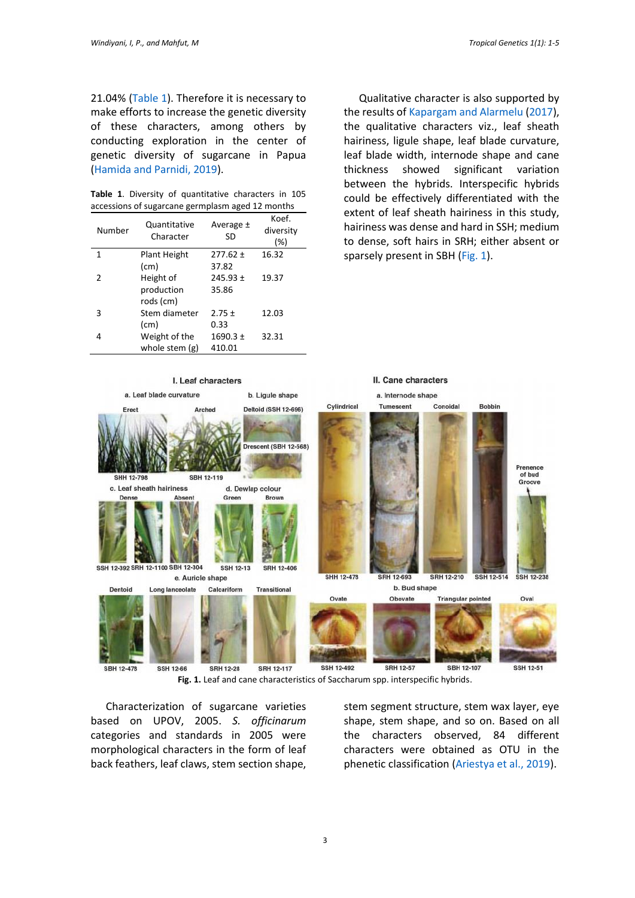21.04% [\(Table 1\)](#page-2-0). Therefore it is necessary to make efforts to increase the genetic diversity of these characters, among others by conducting exploration in the center of genetic diversity of sugarcane in Papua [\(Hamida and Parnidi, 2019\)](#page-3-0).

<span id="page-2-0"></span>**Table 1**. Diversity of quantitative characters in 105 accessions of sugarcane germplasm aged 12 months

| Number | Quantitative<br>Character | Average ±<br>SD | Koef.<br>diversity<br>(%) |
|--------|---------------------------|-----------------|---------------------------|
| 1      | <b>Plant Height</b>       | $277.62 \pm$    | 16.32                     |
|        | (cm)                      | 37.82           |                           |
| 2      | Height of                 | $245.93 \pm$    | 19.37                     |
|        | production<br>rods (cm)   | 35.86           |                           |
| 3      | Stem diameter             | $2.75 \pm$      | 12.03                     |
|        | (cm)                      | 0.33            |                           |
| 4      | Weight of the             | $1690.3 \pm$    | 32.31                     |
|        | whole stem $(g)$          | 410.01          |                           |

Qualitative character is also supported by the results o[f Kapargam and Alarmelu \(2017\)](#page-3-0), the qualitative characters viz., leaf sheath hairiness, ligule shape, leaf blade curvature, leaf blade width, internode shape and cane thickness showed significant variation between the hybrids. Interspecific hybrids could be effectively differentiated with the extent of leaf sheath hairiness in this study, hairiness was dense and hard in SSH; medium to dense, soft hairs in SRH; either absent or sparsely present in SBH [\(Fig.](#page-2-1) 1).



<span id="page-2-1"></span>Characterization of sugarcane varieties based on UPOV, 2005. *S. officinarum* categories and standards in 2005 were morphological characters in the form of leaf back feathers, leaf claws, stem section shape,

stem segment structure, stem wax layer, eye shape, stem shape, and so on. Based on all the characters observed, 84 different characters were obtained as OTU in the phenetic classification [\(Ariestya et al., 2019\)](#page-3-0).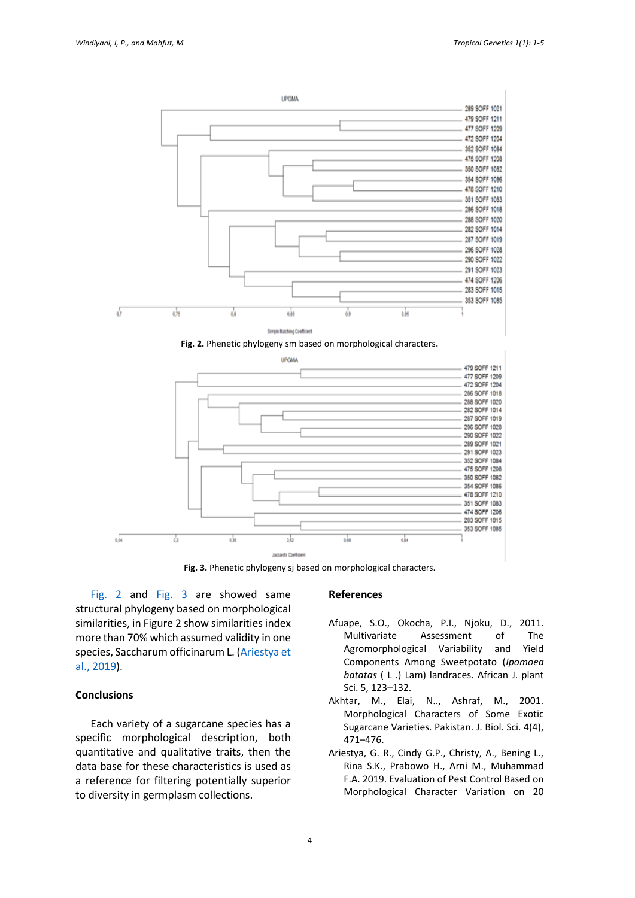

<span id="page-3-1"></span>

**Fig. 3.** Phenetic phylogeny sj based on morphological characters.

<span id="page-3-2"></span>[Fig.](#page-3-1) 2 and [Fig. 3](#page-3-2) are showed same structural phylogeny based on morphological similarities, in Figure 2 show similarities index more than 70% which assumed validity in one species, Saccharum officinarum L. [\(Ariestya et](#page-3-0)  [al., 2019\)](#page-3-0).

### **Conclusions**

Each variety of a sugarcane species has a specific morphological description, both quantitative and qualitative traits, then the data base for these characteristics is used as a reference for filtering potentially superior to diversity in germplasm collections.

#### <span id="page-3-0"></span>**References**

- Afuape, S.O., Okocha, P.I., Njoku, D., 2011. Multivariate Assessment of The Agromorphological Variability and Yield Components Among Sweetpotato (*Ipomoea batatas* ( L .) Lam) landraces. African J. plant Sci. 5, 123–132.
- Akhtar, M., Elai, N.., Ashraf, M., 2001. Morphological Characters of Some Exotic Sugarcane Varieties. Pakistan. J. Biol. Sci. 4(4), 471–476.
- Ariestya, G. R., Cindy G.P., Christy, A., Bening L., Rina S.K., Prabowo H., Arni M., Muhammad F.A. 2019. Evaluation of Pest Control Based on Morphological Character Variation on 20